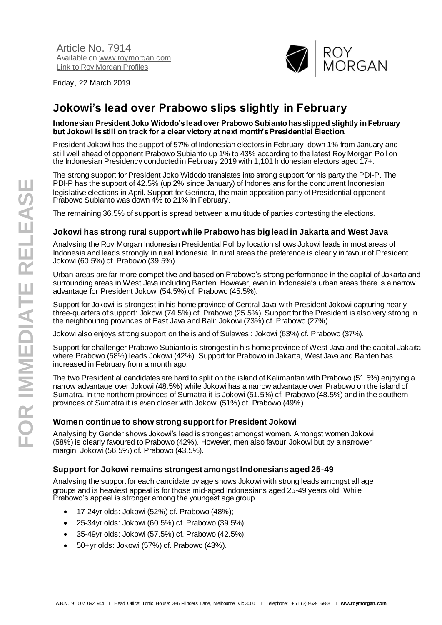Article No. 7914 Available on [www.roymorgan.com](http://www.roymorgan.com/) Link t[o Roy Morgan Profiles](http://www.roymorganonlinestore.com/Browse/Australia/Media.aspx)

Friday, 22 March 2019



# **Jokowi's lead over Prabowo slips slightly in February**

#### **Indonesian President Joko Widodo's lead over Prabowo Subianto has slipped slightly in February but Jokowi is still on track for a clear victory at next month's Presidential Election.**

President Jokowi has the support of 57% of Indonesian electors in February, down 1% from January and still well ahead of opponent Prabowo Subianto up 1% to 43% according to the latest Roy Morgan Poll on the Indonesian Presidency conducted in February 2019 with 1,101 Indonesian electors aged 17+.

The strong support for President Joko Widodo translates into strong support for his party the PDI-P. The PDI-P has the support of 42.5% (up 2% since January) of Indonesians for the concurrent Indonesian legislative elections in April. Support for Gerindra, the main opposition party of Presidential opponent Prabowo Subianto was down 4% to 21% in February.

The remaining 36.5% of support is spread between a multitude of parties contesting the elections.

#### **Jokowi has strong rural support while Prabowo has big lead in Jakarta and West Java**

Analysing the Roy Morgan Indonesian Presidential Poll by location shows Jokowi leads in most areas of Indonesia and leads strongly in rural Indonesia. In rural areas the preference is clearly in favour of President Jokowi (60.5%) cf. Prabowo (39.5%).

Urban areas are far more competitive and based on Prabowo's strong performance in the capital of Jakarta and surrounding areas in West Java including Banten. However, even in Indonesia's urban areas there is a narrow advantage for President Jokowi (54.5%) cf. Prabowo (45.5%).

Support for Jokowi is strongest in his home province of Central Java with President Jokowi capturing nearly three-quarters of support: Jokowi (74.5%) cf. Prabowo (25.5%). Support for the President is also very strong in the neighbouring provinces of East Java and Bali: Jokowi (73%) cf. Prabowo (27%).

Jokowi also enjoys strong support on the island of Sulawesi: Jokowi (63%) cf. Prabowo (37%).

Support for challenger Prabowo Subianto is strongest in his home province of West Java and the capital Jakarta where Prabowo (58%) leads Jokowi (42%). Support for Prabowo in Jakarta, West Java and Banten has increased in February from a month ago.

The two Presidential candidates are hard to split on the island of Kalimantan with Prabowo (51.5%) enjoying a narrow advantage over Jokowi (48.5%) while Jokowi has a narrow advantage over Prabowo on the island of Sumatra. In the northern provinces of Sumatra it is Jokowi (51.5%) cf. Prabowo (48.5%) and in the southern provinces of Sumatra it is even closer with Jokowi (51%) cf. Prabowo (49%).

#### **Women continue to show strong support for President Jokowi**

Analysing by Gender shows Jokowi's lead is strongest amongst women. Amongst women Jokowi (58%) is clearly favoured to Prabowo (42%). However, men also favour Jokowi but by a narrower margin: Jokowi (56.5%) cf. Prabowo (43.5%).

#### **Support for Jokowi remains strongest amongst Indonesians aged 25-49**

Analysing the support for each candidate by age shows Jokowi with strong leads amongst all age groups and is heaviest appeal is for those mid-aged Indonesians aged 25-49 years old. While Prabowo's appeal is stronger among the youngest age group.

- 17-24yr olds: Jokowi (52%) cf. Prabowo (48%);
- 25-34yr olds: Jokowi (60.5%) cf. Prabowo (39.5%);
- 35-49yr olds: Jokowi (57.5%) cf. Prabowo (42.5%);
- 50+yr olds: Jokowi (57%) cf. Prabowo (43%).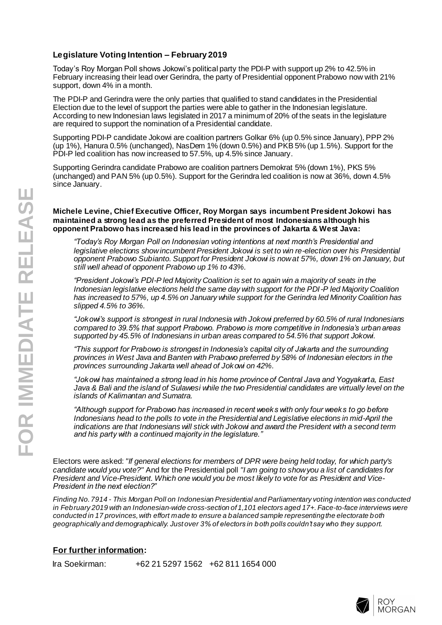#### **Legislature Voting Intention – February 2019**

Today's Roy Morgan Poll shows Jokowi's political party the PDI -P with support up 2% to 42.5% in February increasing their lead over Gerindra, the party of Presidential opponent Prabowo now with 21% support, down 4% in a month.

The PDI -P and Gerindra were the only parties that qualified to stand candidates in the Presidential Election due to the level of support the parties were able to gather in the Indonesian legislature. According to new Indonesian laws legislated in 2017 a minimum of 20% of the seats in the legislature are required to support the nomination of a Presidential candidate.

Supporting PDI -P candidate Jokowi are coalition partners Golkar 6% (up 0.5% since January), PPP 2% (up 1%), Hanura 0.5% (unchanged), NasDem 1% (down 0.5%) and PKB 5% (up 1.5%). Support for the PDI -P led coalition has now increased to 57.5%, up 4.5% since January .

Supporting Gerindra candidate Prabowo are coalition partners Demokrat 5% (down 1%), PKS 5% (unchanged) and PAN 5% (up 0.5%). Support for the Gerindra led coalition is now at 36%, down 4.5% since January .

#### **Michele Levine, Chief Executive Officer, Roy Morgan says incumbent President Jokowi has maintained a strong lead as the preferred President of most Indonesians although his opponent Prabowo has increased his lead in the provinces of Jakarta & West Java:**

*"Today's Roy Morgan Poll on Indonesian voting intentions at next month's Presidential and legislative elections show incumbent President Jokowi is set to win re -election over his Presidential opponent Prabowo Subianto. Support for President Jokowi is now at 57%, down 1% on January, but still well ahead of opponent Prabowo up 1% to 43%.*

*"President Jokowi's PDI -P led Majority Coalition is set to again win a majority of seats in the Indonesian legislative elections held the same day with support for the PDI -P led Majority Coalition has increased to 57%, up 4.5% on January while support for the Gerindra led Minority Coalition has slipped 4.5% to 36%.*

*"Jokowi's support is strongest in rural Indonesia with Jokowi preferred by 60.5% of rural Indonesians compared to 39.5% that support Prabowo. Prabowo is more competitive in Indonesia's urban areas supported by 45.5% of Indonesians in urban areas compared to 54.5% that support Jokowi.*

*"This support for Prabowo is strongest in Indonesia's capital city of Jakarta and the surrounding provinces in West Java and Banten with Prabowo preferred by 58% of Indonesian electors in the provinces surrounding Jakarta well ahead of Jokowi on 42%.*

*"Jokowi has maintained a strong lead in his home province of Central Java and Yogyakarta, East Java & Bali and the island of Sulawesi while the two Presidential candidates are virtually level on the islands of Kalimantan and Sumatra.*

*"Although support for Prabowo has increased in recent weeks with only four weeks to go before Indonesians head to the polls to vote in the Presidential and Legislative elections in mid -April the indications are that Indonesians will stick with Jokowi and award the President with a second term and his party with a continued majority in the legislature."*

Electors were asked: *"If general elections for members of DPR were being held today, for which party's candidate would you vote?"* And for the Presidential poll *"I am going to show you a list of candidates for President and Vice -President. Which one would you be most likely to vote for as President and Vice - President in the next election?"*

*Finding No. 7 914 - This Morgan Poll on Indonesian Presidential and Parliamentary voting intention was conducted*  in February 2019 with an Indonesian-wide cross-section of 1,101 electors aged 17+. Face-to-face interviews were *conducted in 17 provinces, with effort made to ensure a balanced sample representing the electorate both geographically and demographically. Just over 3% of electors in both polls couldn't say who they support.*

#### **For further information :**

Ira Soekirman: +62 21 5297 1562 +62 811 1654 000

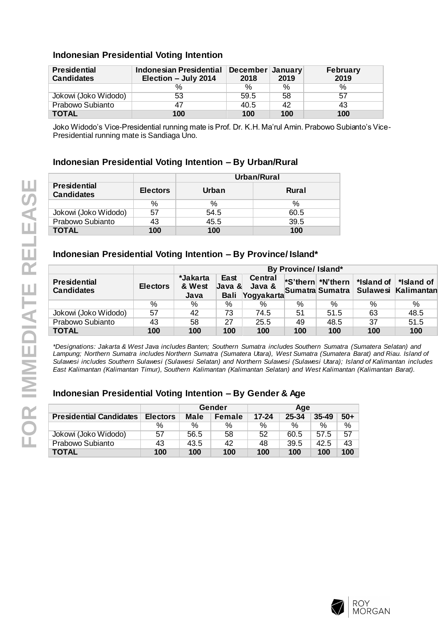# **Indonesian Presidential Voting Intention**

| <b>Presidential</b><br><b>Candidates</b> | <b>Indonesian Presidential</b><br>Election - July 2014 | December January<br>2018 | 2019 | <b>February</b><br>2019 |
|------------------------------------------|--------------------------------------------------------|--------------------------|------|-------------------------|
|                                          | $\%$                                                   | $\%$                     | %    | %                       |
| Jokowi (Joko Widodo)                     | 53                                                     | 59.5                     | 58   | 57                      |
| Prabowo Subianto                         | 47                                                     | 40.5                     | 42   | 43                      |
| <b>TOTAL</b>                             | 100                                                    | 100                      | 100  | 100                     |

Joko Widodo's Vice-Presidential running mate is Prof. Dr. K.H. Ma'rul Amin. Prabowo Subianto's Vice-Presidential running mate is Sandiaga Uno.

## **Indonesian Presidential Voting Intention – By Urban/Rural**

|                                          |                 | Urban/Rural |       |  |  |
|------------------------------------------|-----------------|-------------|-------|--|--|
| <b>Presidential</b><br><b>Candidates</b> | <b>Electors</b> | Urban       | Rural |  |  |
|                                          | ℅               | $\%$        | ℅     |  |  |
| Jokowi (Joko Widodo)                     | 57              | 54.5        | 60.5  |  |  |
| Prabowo Subianto                         | 43              | 45.5        | 39.5  |  |  |
| <b>TOTAL</b>                             | 100             | 100         | 100   |  |  |

## **Indonesian Presidential Voting Intention – By Province/ Island\***

|                                          |                 | By Province/ Island*       |                                      |                                        |     |      |                                                                                                                    |                                                     |
|------------------------------------------|-----------------|----------------------------|--------------------------------------|----------------------------------------|-----|------|--------------------------------------------------------------------------------------------------------------------|-----------------------------------------------------|
| <b>Presidential</b><br><b>Candidates</b> | <b>Electors</b> | *Jakarta<br>& West<br>Java | East<br>Java <b>8</b><br><b>Bali</b> | <b>Central</b><br>Java &<br>Yogyakarta |     |      | $\blacktriangleright$ S'thern $\blacktriangleright$ N'thern $\blacktriangleright$ *Island of $\blacktriangleright$ | *Island of<br>Sumatra Sumatra   Sulawesi Kalimantan |
|                                          | %               | $\%$                       | %                                    | $\%$                                   | %   | $\%$ | %                                                                                                                  | %                                                   |
| Jokowi (Joko Widodo)                     | 57              | 42                         | 73                                   | 74.5                                   | 51  | 51.5 | 63                                                                                                                 | 48.5                                                |
| Prabowo Subianto                         | 43              | 58                         | 27                                   | 25.5                                   | 49  | 48.5 | 37                                                                                                                 | 51.5                                                |
| <b>TOTAL</b>                             | 100             | 100                        | 100                                  | 100                                    | 100 | 100  | 100                                                                                                                | 100                                                 |

*\*Designations: Jakarta & West Java includes Banten; Southern Sumatra includes Southern Sumatra (Sumatera Selatan) and Lampung; Northern Sumatra includes Northern Sumatra (Sumatera Utara), West Sumatra (Sumatera Barat) and Riau. Island of Sulawesi includes Southern Sulawesi (Sulawesi Selatan) and Northern Sulawesi (Sulawesi Utara); Island of Kalimantan includes East Kalimantan (Kalimantan Timur), Southern Kalimantan (Kalimantan Selatan) and West Kalimantan (Kalimantan Barat).*

|                                |                 | Gender      |               | Age       |       |           |       |
|--------------------------------|-----------------|-------------|---------------|-----------|-------|-----------|-------|
| <b>Presidential Candidates</b> | <b>Electors</b> | <b>Male</b> | <b>Female</b> | $17 - 24$ | 25-34 | $35 - 49$ | $50+$ |
|                                | $\%$            | $\%$        | $\%$          | $\%$      | $\%$  | $\%$      | $\%$  |
| Jokowi (Joko Widodo)           | 57              | 56.5        | 58            | 52        | 60.5  | 57.5      | -57   |
| Prabowo Subianto               | 43              | 43.5        | 42            | 48        | 39.5  | 42.5      | 43    |
| <b>TOTAL</b>                   | 100             | 100         | 100           | 100       | 100   | 100       | 100   |

# **Indonesian Presidential Voting Intention – By Gender & Age**